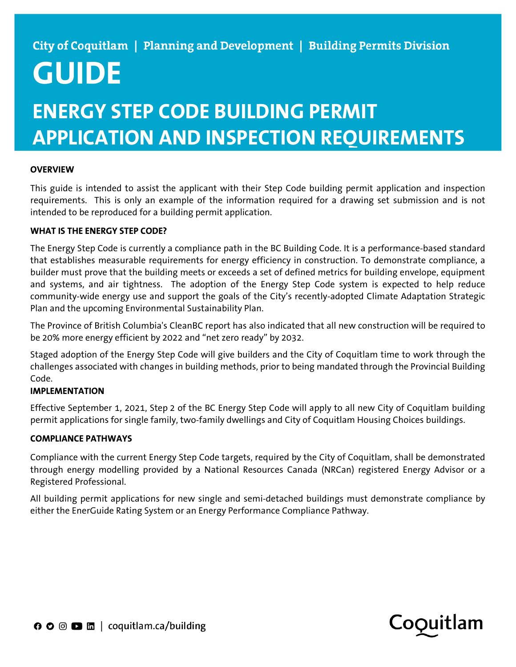# **GUIDE**

## **ENERGY STEP CODE BUILDING PERMIT APPLICATION AND INSPECTION REQUIREMENTS**

## **OVERVIEW**

This guide is intended to assist the applicant with their Step Code building permit application and inspection requirements. This is only an example of the information required for a drawing set submission and is not intended to be reproduced for a building permit application.

### **WHAT IS THE ENERGY STEP CODE?**

The Energy Step Code is currently a compliance path in the BC Building Code. It is a performance-based standard that establishes measurable requirements for energy efficiency in construction. To demonstrate compliance, a builder must prove that the building meets or exceeds a set of defined metrics for building envelope, equipment and systems, and air tightness. The adoption of the Energy Step Code system is expected to help reduce community-wide energy use and support the goals of the City's recently-adopted Climate Adaptation Strategic Plan and the upcoming Environmental Sustainability Plan.

The Province of British Columbia's CleanBC report has also indicated that all new construction will be required to be 20% more energy efficient by 2022 and "net zero ready" by 2032.

Staged adoption of the Energy Step Code will give builders and the City of Coquitlam time to work through the challenges associated with changes in building methods, prior to being mandated through the Provincial Building Code.

### **IMPLEMENTATION**

Effective September 1, 2021, Step 2 of the BC Energy Step Code will apply to all new City of Coquitlam building permit applications for single family, two-family dwellings and City of Coquitlam Housing Choices buildings.

#### **COMPLIANCE PATHWAYS**

Compliance with the current Energy Step Code targets, required by the City of Coquitlam, shall be demonstrated through energy modelling provided by a National Resources Canada (NRCan) registered Energy Advisor or a Registered Professional.

All building permit applications for new single and semi-detached buildings must demonstrate compliance by either the EnerGuide Rating System or an Energy Performance Compliance Pathway.

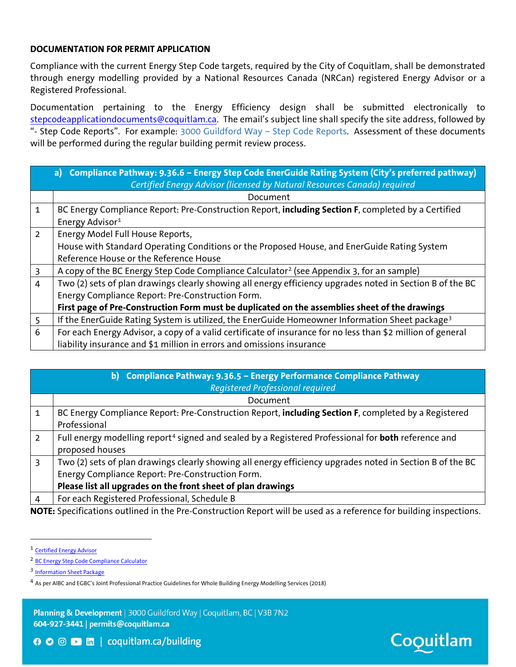### **DOCUMENTATION FOR PERMIT APPLICATION**

Compliance with the current Energy Step Code targets, required by the City of Coquitlam, shall be demonstrated through energy modelling provided by a National Resources Canada (NRCan) registered Energy Advisor or a Registered Professional.

Documentation pertaining to the Energy Efficiency design shall be submitted electronically to [stepcodeapplicationdocuments@coquitlam.ca.](mailto:stepcodeapplicationdocuments@coquitlam.ca) The email's subject line shall specify the site address, followed by "- Step Code Reports". For example: 3000 Guildford Way - Step Code Reports. Assessment of these documents will be performed during the regular building permit review process.

|                | a) Compliance Pathway: 9.36.6 - Energy Step Code EnerGuide Rating System (City's preferred pathway)<br>Certified Energy Advisor (licensed by Natural Resources Canada) required |
|----------------|---------------------------------------------------------------------------------------------------------------------------------------------------------------------------------|
|                | Document                                                                                                                                                                        |
| $\mathbf{1}$   | BC Energy Compliance Report: Pre-Construction Report, including Section F, completed by a Certified                                                                             |
|                | Energy Advisor <sup>1</sup>                                                                                                                                                     |
| $2^{\circ}$    | Energy Model Full House Reports,                                                                                                                                                |
|                | House with Standard Operating Conditions or the Proposed House, and EnerGuide Rating System                                                                                     |
|                | Reference House or the Reference House                                                                                                                                          |
| 3              | A copy of the BC Energy Step Code Compliance Calculator <sup>2</sup> (see Appendix 3, for an sample)                                                                            |
| $\overline{4}$ | Two (2) sets of plan drawings clearly showing all energy efficiency upgrades noted in Section B of the BC                                                                       |
|                | Energy Compliance Report: Pre-Construction Form.                                                                                                                                |
|                | First page of Pre-Construction Form must be duplicated on the assemblies sheet of the drawings                                                                                  |
| 5              | If the EnerGuide Rating System is utilized, the EnerGuide Homeowner Information Sheet package <sup>3</sup>                                                                      |
| 6              | For each Energy Advisor, a copy of a valid certificate of insurance for no less than \$2 million of general                                                                     |
|                | liability insurance and \$1 million in errors and omissions insurance                                                                                                           |

|                | b) Compliance Pathway: 9.36.5 - Energy Performance Compliance Pathway<br><b>Registered Professional required</b>                                                                                                              |
|----------------|-------------------------------------------------------------------------------------------------------------------------------------------------------------------------------------------------------------------------------|
|                | Document                                                                                                                                                                                                                      |
| 1              | BC Energy Compliance Report: Pre-Construction Report, including Section F, completed by a Registered<br>Professional                                                                                                          |
| $\overline{2}$ | Full energy modelling report <sup>4</sup> signed and sealed by a Registered Professional for <b>both</b> reference and<br>proposed houses                                                                                     |
| 3              | Two (2) sets of plan drawings clearly showing all energy efficiency upgrades noted in Section B of the BC<br>Energy Compliance Report: Pre-Construction Form.<br>Please list all upgrades on the front sheet of plan drawings |
| 4              | For each Registered Professional, Schedule B                                                                                                                                                                                  |

**NOTE:** Specifications outlined in the Pre-Construction Report will be used as a reference for building inspections.

Planning & Development | 3000 Guildford Way | Coquitlam, BC | V3B 7N2 604-927-3441 | permits@coquitlam.ca

<span id="page-1-0"></span> <sup>1</sup> [Certified Energy Advisor](https://energystepcode.ca/energy-advisors/)

<span id="page-1-1"></span><sup>2</sup> [BC Energy Step Code Compliance Calculator](https://energystepcode.ca/compliance-tools-part9/)

<span id="page-1-2"></span><sup>3</sup> [Information Sheet Package](https://www.envirocentre.ca/wp-content/uploads/2018/03/4C00DXXXXXHOISEN.pdf)

<span id="page-1-3"></span><sup>4</sup> As per AIBC and EGBC's Joint Professional Practice Guidelines for Whole Building Energy Modelling Services (2018)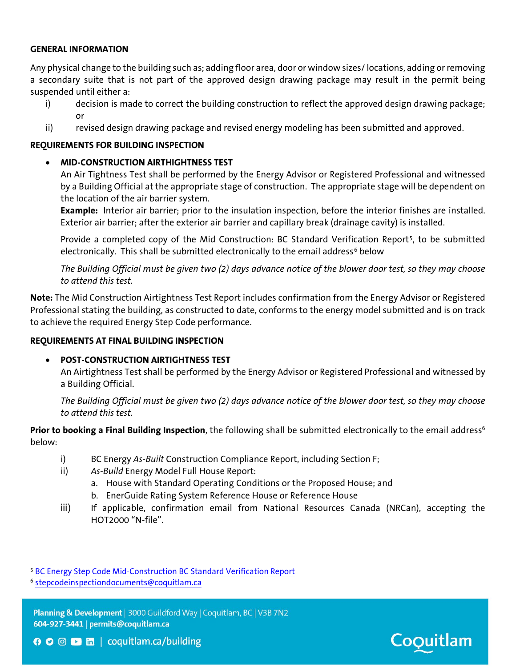### **GENERAL INFORMATION**

Any physical change to the building such as; adding floor area, door or window sizes/ locations, adding or removing a secondary suite that is not part of the approved design drawing package may result in the permit being suspended until either a:

- i) decision is made to correct the building construction to reflect the approved design drawing package; or
- ii) revised design drawing package and revised energy modeling has been submitted and approved.

#### **REQUIREMENTS FOR BUILDING INSPECTION**

#### • **MID-CONSTRUCTION AIRTHIGHTNESS TEST**

An Air Tightness Test shall be performed by the Energy Advisor or Registered Professional and witnessed by a Building Official at the appropriate stage of construction. The appropriate stage will be dependent on the location of the air barrier system.

**Example:** Interior air barrier; prior to the insulation inspection, before the interior finishes are installed. Exterior air barrier; after the exterior air barrier and capillary break (drainage cavity) is installed.

<span id="page-2-0"></span>Provide a completed copy of the Mid Construction: BC Standard Verification Report<sup>5</sup>, to be submitted electronically. This shall be submitted electronically to the email address<sup>[6](#page-2-2)</sup> below

*The Building Official must be given two (2) days advance notice of the blower door test, so they may choose to attend this test.*

**Note:** The Mid Construction Airtightness Test Report includes confirmation from the Energy Advisor or Registered Professional stating the building, as constructed to date, conforms to the energy model submitted and is on track to achieve the required Energy Step Code performance.

#### **REQUIREMENTS AT FINAL BUILDING INSPECTION**

#### • **POST-CONSTRUCTION AIRTIGHTNESS TEST**

An Airtightness Test shall be performed by the Energy Advisor or Registered Professional and witnessed by a Building Official.

*The Building Official must be given two (2) days advance notice of the blower door test, so they may choose to attend this test.*

Prior to booking a Final Building Inspection, the following shall be submitted electronically to the email address<sup>6</sup> below:

- i) BC Energy *As-Built* Construction Compliance Report, including Section F;
- ii) *As-Build* Energy Model Full House Report:
	- a. House with Standard Operating Conditions or the Proposed House; and
	- b. EnerGuide Rating System Reference House or Reference House
- iii) If applicable, confirmation email from National Resources Canada (NRCan), accepting the HOT2000 "N-file".

<span id="page-2-2"></span><sup>6</sup> [stepcodeinspectiondocuments@coquitlam.ca](mailto:stepcodeinspectiondocuments@coquitlam.ca)

Planning & Development | 3000 Guildford Way | Coquitlam, BC | V3B 7N2 604-927-3441 | permits@coquitlam.ca



<span id="page-2-1"></span> <sup>5</sup> [BC Energy Step Code Mid-Construction BC Standard Verification Report](https://energystepcode.ca/app/uploads/sites/257/2019/08/Mid-Construction-BC-Standard-Verification-Report.pdf)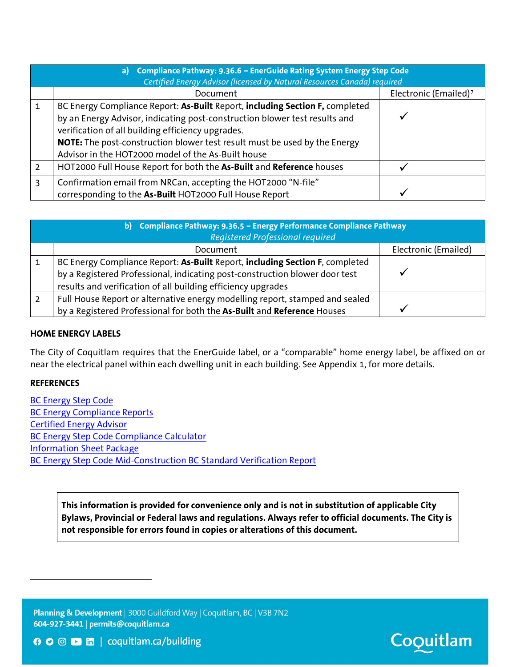|   | a) Compliance Pathway: 9.36.6 - EnerGuide Rating System Energy Step Code<br>Certified Energy Advisor (licensed by Natural Resources Canada) required                                                                                                                                                                                               |                                   |  |  |  |  |  |  |  |  |
|---|----------------------------------------------------------------------------------------------------------------------------------------------------------------------------------------------------------------------------------------------------------------------------------------------------------------------------------------------------|-----------------------------------|--|--|--|--|--|--|--|--|
|   | Document                                                                                                                                                                                                                                                                                                                                           | Electronic (Emailed) <sup>7</sup> |  |  |  |  |  |  |  |  |
|   | BC Energy Compliance Report: As-Built Report, including Section F, completed<br>by an Energy Advisor, indicating post-construction blower test results and<br>verification of all building efficiency upgrades.<br>NOTE: The post-construction blower test result must be used by the Energy<br>Advisor in the HOT2000 model of the As-Built house |                                   |  |  |  |  |  |  |  |  |
| 2 | HOT2000 Full House Report for both the As-Built and Reference houses                                                                                                                                                                                                                                                                               |                                   |  |  |  |  |  |  |  |  |
| 3 | Confirmation email from NRCan, accepting the HOT2000 "N-file"<br>corresponding to the As-Built HOT2000 Full House Report                                                                                                                                                                                                                           |                                   |  |  |  |  |  |  |  |  |

| b) Compliance Pathway: 9.36.5 - Energy Performance Compliance Pathway<br>Registered Professional required                                                   |  |  |  |  |  |  |  |  |  |
|-------------------------------------------------------------------------------------------------------------------------------------------------------------|--|--|--|--|--|--|--|--|--|
| Electronic (Emailed)<br>Document                                                                                                                            |  |  |  |  |  |  |  |  |  |
| BC Energy Compliance Report: As-Built Report, including Section F, completed<br>by a Registered Professional, indicating post-construction blower door test |  |  |  |  |  |  |  |  |  |
| results and verification of all building efficiency upgrades                                                                                                |  |  |  |  |  |  |  |  |  |
| Full House Report or alternative energy modelling report, stamped and sealed<br>by a Registered Professional for both the As-Built and Reference Houses     |  |  |  |  |  |  |  |  |  |

### **HOME ENERGY LABELS**

The City of Coquitlam requires that the EnerGuide label, or a "comparable" home energy label, be affixed on or near the electrical panel within each dwelling unit in each building. See Appendix 1, for more details.

#### **REFERENCES**

<span id="page-3-0"></span> $\overline{\phantom{a}}$ 

[BC Energy Step Code](https://energystepcode.ca/) [BC Energy Compliance Reports](https://energystepcode.ca/compliance-tools-part9/) [Certified Energy Advisor](https://energystepcode.ca/energy-advisors/) [BC Energy Step Code Compliance Calculator](https://energystepcode.ca/compliance-tools-part9/) [Information Sheet Package](https://www.envirocentre.ca/wp-content/uploads/2018/03/4C00DXXXXXHOISEN.pdf) [BC Energy Step Code Mid-Construction BC Standard Verification Report](https://energystepcode.ca/app/uploads/sites/257/2019/08/Mid-Construction-BC-Standard-Verification-Report.pdf)

> **This information is provided for convenience only and is not in substitution of applicable City Bylaws, Provincial or Federal laws and regulations. Always refer to official documents. The City is not responsible for errors found in copies or alterations of this document.**

Planning & Development | 3000 Guildford Way | Coquitlam, BC | V3B 7N2 604-927-3441 | permits@coquitlam.ca

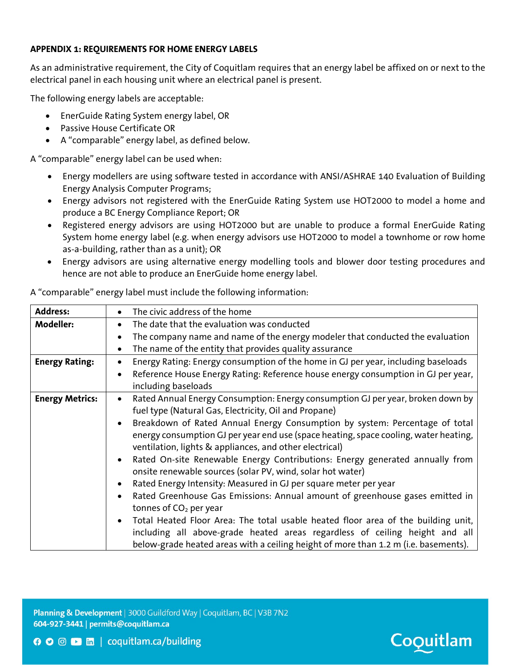## **APPENDIX 1: REQUIREMENTS FOR HOME ENERGY LABELS**

As an administrative requirement, the City of Coquitlam requires that an energy label be affixed on or next to the electrical panel in each housing unit where an electrical panel is present.

The following energy labels are acceptable:

- EnerGuide Rating System energy label, OR
- Passive House Certificate OR
- A "comparable" energy label, as defined below.

A "comparable" energy label can be used when:

- Energy modellers are using software tested in accordance with ANSI/ASHRAE 140 Evaluation of Building Energy Analysis Computer Programs;
- Energy advisors not registered with the EnerGuide Rating System use HOT2000 to model a home and produce a BC Energy Compliance Report; OR
- Registered energy advisors are using HOT2000 but are unable to produce a formal EnerGuide Rating System home energy label (e.g. when energy advisors use HOT2000 to model a townhome or row home as-a-building, rather than as a unit); OR
- Energy advisors are using alternative energy modelling tools and blower door testing procedures and hence are not able to produce an EnerGuide home energy label.

| <b>Address:</b>        | The civic address of the home                                                                                                                                                                                                                           |
|------------------------|---------------------------------------------------------------------------------------------------------------------------------------------------------------------------------------------------------------------------------------------------------|
| <b>Modeller:</b>       | The date that the evaluation was conducted<br>$\bullet$                                                                                                                                                                                                 |
|                        | The company name and name of the energy modeler that conducted the evaluation                                                                                                                                                                           |
|                        | The name of the entity that provides quality assurance<br>$\bullet$                                                                                                                                                                                     |
| <b>Energy Rating:</b>  | Energy Rating: Energy consumption of the home in GJ per year, including baseloads                                                                                                                                                                       |
|                        | Reference House Energy Rating: Reference house energy consumption in GJ per year,<br>including baseloads                                                                                                                                                |
| <b>Energy Metrics:</b> | Rated Annual Energy Consumption: Energy consumption GJ per year, broken down by<br>$\bullet$<br>fuel type (Natural Gas, Electricity, Oil and Propane)                                                                                                   |
|                        | Breakdown of Rated Annual Energy Consumption by system: Percentage of total<br>energy consumption GJ per year end use (space heating, space cooling, water heating,<br>ventilation, lights & appliances, and other electrical)                          |
|                        | Rated On-site Renewable Energy Contributions: Energy generated annually from<br>onsite renewable sources (solar PV, wind, solar hot water)                                                                                                              |
|                        | Rated Energy Intensity: Measured in GJ per square meter per year                                                                                                                                                                                        |
|                        | Rated Greenhouse Gas Emissions: Annual amount of greenhouse gases emitted in<br>$\bullet$<br>tonnes of CO <sub>2</sub> per year                                                                                                                         |
|                        | Total Heated Floor Area: The total usable heated floor area of the building unit,<br>including all above-grade heated areas regardless of ceiling height and all<br>below-grade heated areas with a ceiling height of more than 1.2 m (i.e. basements). |

A "comparable" energy label must include the following information:

Planning & Development | 3000 Guildford Way | Coquitlam, BC | V3B 7N2 604-927-3441 | permits@coquitlam.ca



**O** ⊙ D m coquitlam.ca/building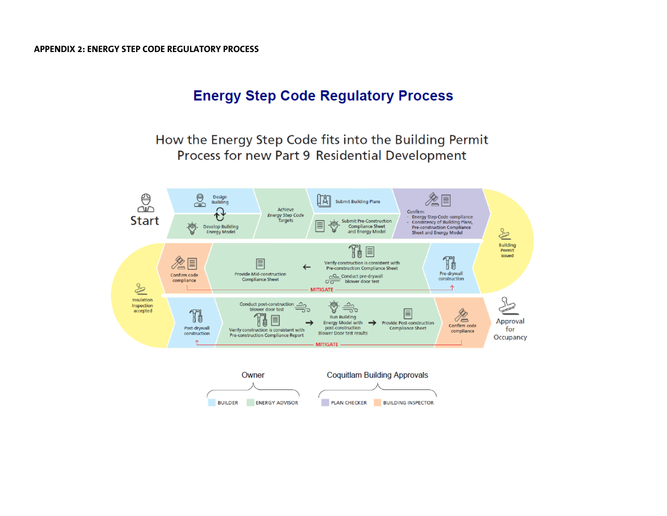## **Energy Step Code Regulatory Process**

How the Energy Step Code fits into the Building Permit Process for new Part 9 Residential Development